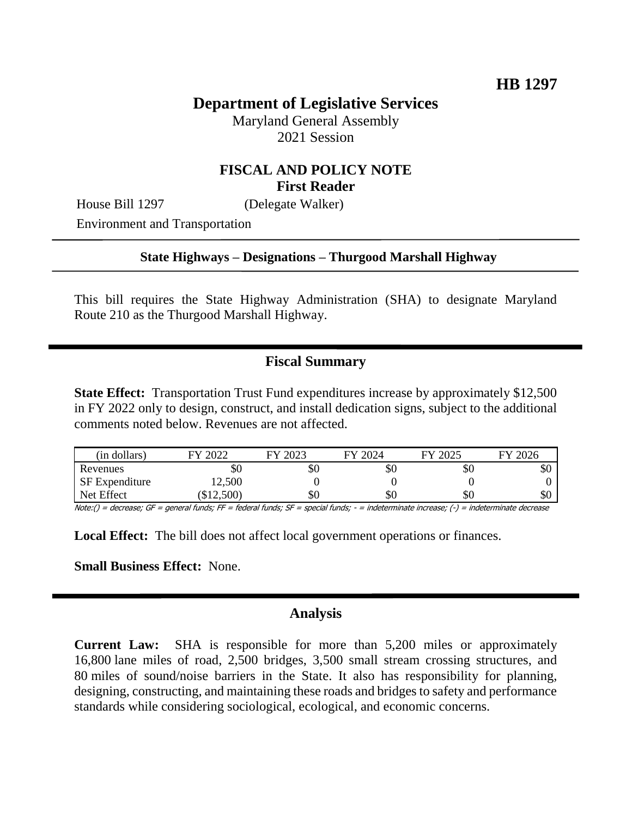# **Department of Legislative Services**

Maryland General Assembly 2021 Session

## **FISCAL AND POLICY NOTE First Reader**

House Bill 1297 (Delegate Walker)

Environment and Transportation

#### **State Highways – Designations – Thurgood Marshall Highway**

This bill requires the State Highway Administration (SHA) to designate Maryland Route 210 as the Thurgood Marshall Highway.

### **Fiscal Summary**

**State Effect:** Transportation Trust Fund expenditures increase by approximately \$12,500 in FY 2022 only to design, construct, and install dedication signs, subject to the additional comments noted below. Revenues are not affected.

| (in dollars)          | 2022<br>FУ | 2023<br><b>EV</b> | 12024<br>FV | 2025<br>FY | 2026<br>FV |
|-----------------------|------------|-------------------|-------------|------------|------------|
| Revenues              | УU         | Y0                | ъU          | УU         | ሰሳ<br>ъU   |
| <b>SF</b> Expenditure | 12,500     |                   |             |            |            |
| Net Effect            | \$12,500   | \$Ο               | \$0         | УU         | \$0        |

Note:() = decrease; GF = general funds; FF = federal funds; SF = special funds; - = indeterminate increase; (-) = indeterminate decrease

**Local Effect:** The bill does not affect local government operations or finances.

**Small Business Effect:** None.

#### **Analysis**

**Current Law:** SHA is responsible for more than 5,200 miles or approximately 16,800 lane miles of road, 2,500 bridges, 3,500 small stream crossing structures, and 80 miles of sound/noise barriers in the State. It also has responsibility for planning, designing, constructing, and maintaining these roads and bridges to safety and performance standards while considering sociological, ecological, and economic concerns.